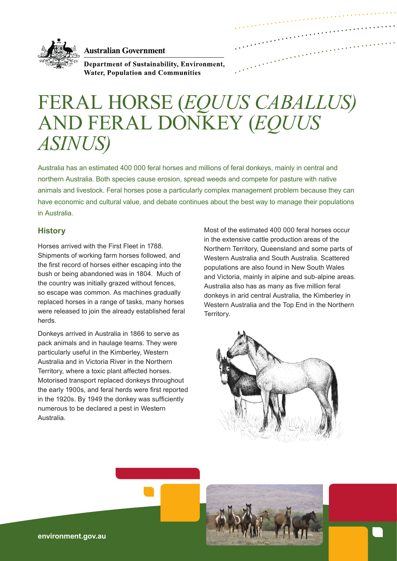

**Australian Government** 

Department of Sustainability, Environment, **Water, Population and Communities** 

# FERAL HORSE (*EQUUS CABALLUS)* AND FERAL DONKEY (*EQUUS ASINUS)*

Australia has an estimated 400 000 feral horses and millions of feral donkeys, mainly in central and northern Australia. Both species cause erosion, spread weeds and compete for pasture with native animals and livestock. Feral horses pose a particularly complex management problem because they can have economic and cultural value, and debate continues about the best way to manage their populations in Australia.

## **History**

Horses arrived with the First Fleet in 1788. Shipments of working farm horses followed, and the first record of horses either escaping into the bush or being abandoned was in 1804. Much of the country was initially grazed without fences, so escape was common. As machines gradually replaced horses in a range of tasks, many horses were released to join the already established feral herds.

Donkeys arrived in Australia in 1866 to serve as pack animals and in haulage teams. They were particularly useful in the Kimberley, Western Australia and in Victoria River in the Northern Territory, where a toxic plant affected horses. Motorised transport replaced donkeys throughout the early 1900s, and feral herds were first reported in the 1920s. By 1949 the donkey was sufficiently numerous to be declared a pest in Western Australia.

Most of the estimated 400 000 feral horses occur in the extensive cattle production areas of the Northern Territory, Queensland and some parts of Western Australia and South Australia. Scattered populations are also found in New South Wales and Victoria, mainly in alpine and sub-alpine areas. Australia also has as many as five million feral donkeys in arid central Australia, the Kimberley in Western Australia and the Top End in the Northern Territory.



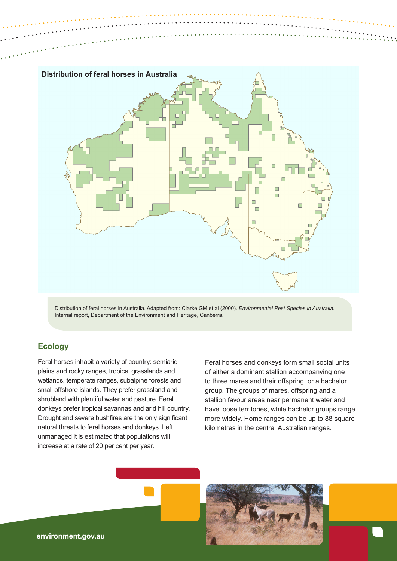

Distribution of feral horses in Australia. Adapted from: Clarke GM et al (2000). *Environmental Pest Species in Australia*. Internal report, Department of the Environment and Heritage, Canberra.

## **Ecology**

Feral horses inhabit a variety of country: semiarid plains and rocky ranges, tropical grasslands and wetlands, temperate ranges, subalpine forests and small offshore islands. They prefer grassland and shrubland with plentiful water and pasture. Feral donkeys prefer tropical savannas and arid hill country. Drought and severe bushfires are the only significant natural threats to feral horses and donkeys. Left unmanaged it is estimated that populations will increase at a rate of 20 per cent per year.

Feral horses and donkeys form small social units of either a dominant stallion accompanying one to three mares and their offspring, or a bachelor group. The groups of mares, offspring and a stallion favour areas near permanent water and have loose territories, while bachelor groups range more widely. Home ranges can be up to 88 square kilometres in the central Australian ranges.

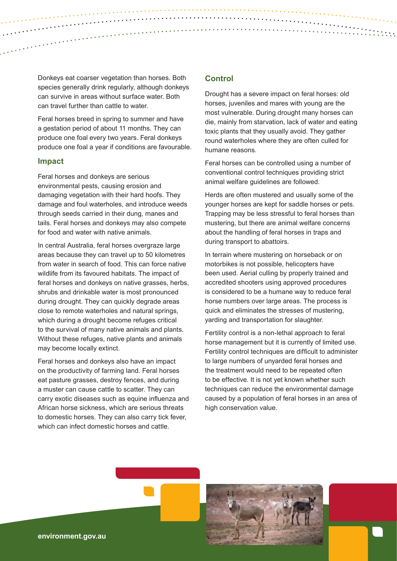Donkeys eat coarser vegetation than horses. Both species generally drink regularly, although donkeys can survive in areas without surface water. Both can travel further than cattle to water.

Feral horses breed in spring to summer and have a gestation period of about 11 months. They can produce one foal every two years. Feral donkeys produce one foal a year if conditions are favourable.

#### **Impact**

Feral horses and donkeys are serious environmental pests, causing erosion and damaging vegetation with their hard hoofs. They damage and foul waterholes, and introduce weeds through seeds carried in their dung, manes and tails. Feral horses and donkeys may also compete for food and water with native animals.

In central Australia, feral horses overgraze large areas because they can travel up to 50 kilometres from water in search of food. This can force native wildlife from its favoured habitats. The impact of feral horses and donkeys on native grasses, herbs, shrubs and drinkable water is most pronounced during drought. They can quickly degrade areas close to remote waterholes and natural springs, which during a drought become refuges critical to the survival of many native animals and plants. Without these refuges, native plants and animals may become locally extinct.

Feral horses and donkeys also have an impact on the productivity of farming land. Feral horses eat pasture grasses, destroy fences, and during a muster can cause cattle to scatter. They can carry exotic diseases such as equine influenza and African horse sickness, which are serious threats to domestic horses. They can also carry tick fever, which can infect domestic horses and cattle.

#### **Control**

Drought has a severe impact on feral horses: old horses, juveniles and mares with young are the most vulnerable. During drought many horses can die, mainly from starvation, lack of water and eating toxic plants that they usually avoid. They gather round waterholes where they are often culled for humane reasons.

Feral horses can be controlled using a number of conventional control techniques providing strict animal welfare guidelines are followed.

Herds are often mustered and usually some of the younger horses are kept for saddle horses or pets. Trapping may be less stressful to feral horses than mustering, but there are animal welfare concerns about the handling of feral horses in traps and during transport to abattoirs.

In terrain where mustering on horseback or on motorbikes is not possible, helicopters have been used. Aerial culling by properly trained and accredited shooters using approved procedures is considered to be a humane way to reduce feral horse numbers over large areas. The process is quick and eliminates the stresses of mustering, yarding and transportation for slaughter.

Fertility control is a non-lethal approach to feral horse management but it is currently of limited use. Fertility control techniques are difficult to administer to large numbers of unyarded feral horses and the treatment would need to be repeated often to be effective. It is not yet known whether such techniques can reduce the environmental damage caused by a population of feral horses in an area of high conservation value.